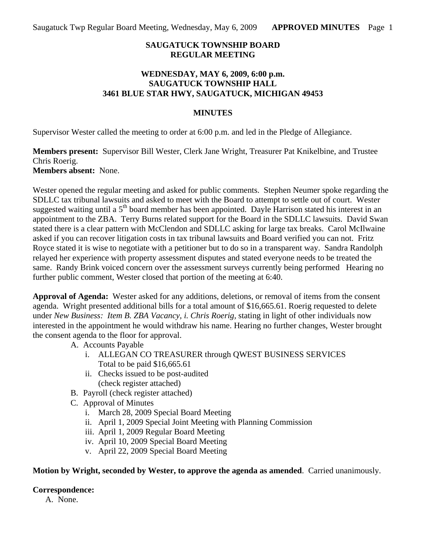## **SAUGATUCK TOWNSHIP BOARD REGULAR MEETING**

## **WEDNESDAY, MAY 6, 2009, 6:00 p.m. SAUGATUCK TOWNSHIP HALL 3461 BLUE STAR HWY, SAUGATUCK, MICHIGAN 49453**

#### **MINUTES**

Supervisor Wester called the meeting to order at 6:00 p.m. and led in the Pledge of Allegiance.

#### **Members present:** Supervisor Bill Wester, Clerk Jane Wright, Treasurer Pat Knikelbine, and Trustee Chris Roerig. **Members absent:** None.

Wester opened the regular meeting and asked for public comments. Stephen Neumer spoke regarding the SDLLC tax tribunal lawsuits and asked to meet with the Board to attempt to settle out of court. Wester suggested waiting until a 5<sup>th</sup> board member has been appointed. Dayle Harrison stated his interest in an appointment to the ZBA. Terry Burns related support for the Board in the SDLLC lawsuits. David Swan stated there is a clear pattern with McClendon and SDLLC asking for large tax breaks. Carol McIlwaine asked if you can recover litigation costs in tax tribunal lawsuits and Board verified you can not. Fritz Royce stated it is wise to negotiate with a petitioner but to do so in a transparent way. Sandra Randolph relayed her experience with property assessment disputes and stated everyone needs to be treated the same. Randy Brink voiced concern over the assessment surveys currently being performed Hearing no further public comment, Wester closed that portion of the meeting at 6:40.

**Approval of Agenda:** Wester asked for any additions, deletions, or removal of items from the consent agenda. Wright presented additional bills for a total amount of \$16,665.61. Roerig requested to delete under *New Business: Item B. ZBA Vacancy, i. Chris Roerig,* stating in light of other individuals now interested in the appointment he would withdraw his name. Hearing no further changes, Wester brought the consent agenda to the floor for approval.

A. Accounts Payable

- i. ALLEGAN CO TREASURER through QWEST BUSINESS SERVICES Total to be paid \$16,665.61
- ii. Checks issued to be post-audited (check register attached)
- B. Payroll (check register attached)
- C. Approval of Minutes
	- i. March 28, 2009 Special Board Meeting
	- ii. April 1, 2009 Special Joint Meeting with Planning Commission
	- iii. April 1, 2009 Regular Board Meeting
	- iv. April 10, 2009 Special Board Meeting
	- v. April 22, 2009 Special Board Meeting

# **Motion by Wright, seconded by Wester, to approve the agenda as amended**. Carried unanimously.

# **Correspondence:**

A. None.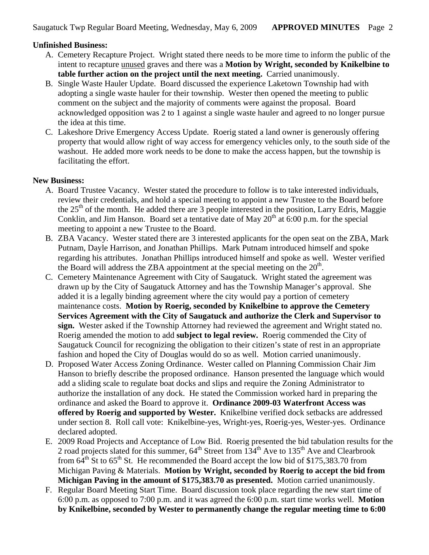# **Unfinished Business:**

- A. Cemetery Recapture Project. Wright stated there needs to be more time to inform the public of the intent to recapture unused graves and there was a **Motion by Wright, seconded by Knikelbine to table further action on the project until the next meeting.** Carried unanimously.
- B. Single Waste Hauler Update. Board discussed the experience Laketown Township had with adopting a single waste hauler for their township. Wester then opened the meeting to public comment on the subject and the majority of comments were against the proposal. Board acknowledged opposition was 2 to 1 against a single waste hauler and agreed to no longer pursue the idea at this time.
- C. Lakeshore Drive Emergency Access Update. Roerig stated a land owner is generously offering property that would allow right of way access for emergency vehicles only, to the south side of the washout. He added more work needs to be done to make the access happen, but the township is facilitating the effort.

# **New Business:**

- A. Board Trustee Vacancy. Wester stated the procedure to follow is to take interested individuals, review their credentials, and hold a special meeting to appoint a new Trustee to the Board before the  $25<sup>th</sup>$  of the month. He added there are 3 people interested in the position, Larry Edris, Maggie Conklin, and Jim Hanson. Board set a tentative date of May  $20<sup>th</sup>$  at 6:00 p.m. for the special meeting to appoint a new Trustee to the Board.
- B. ZBA Vacancy. Wester stated there are 3 interested applicants for the open seat on the ZBA, Mark Putnam, Dayle Harrison, and Jonathan Phillips. Mark Putnam introduced himself and spoke regarding his attributes. Jonathan Phillips introduced himself and spoke as well. Wester verified the Board will address the ZBA appointment at the special meeting on the  $20<sup>th</sup>$ .
- C. Cemetery Maintenance Agreement with City of Saugatuck. Wright stated the agreement was drawn up by the City of Saugatuck Attorney and has the Township Manager's approval. She added it is a legally binding agreement where the city would pay a portion of cemetery maintenance costs. **Motion by Roerig, seconded by Knikelbine to approve the Cemetery Services Agreement with the City of Saugatuck and authorize the Clerk and Supervisor to sign.** Wester asked if the Township Attorney had reviewed the agreement and Wright stated no. Roerig amended the motion to add **subject to legal review.** Roerig commended the City of Saugatuck Council for recognizing the obligation to their citizen's state of rest in an appropriate fashion and hoped the City of Douglas would do so as well. Motion carried unanimously.
- D. Proposed Water Access Zoning Ordinance. Wester called on Planning Commission Chair Jim Hanson to briefly describe the proposed ordinance. Hanson presented the language which would add a sliding scale to regulate boat docks and slips and require the Zoning Administrator to authorize the installation of any dock. He stated the Commission worked hard in preparing the ordinance and asked the Board to approve it. **Ordinance 2009-03 Waterfront Access was offered by Roerig and supported by Wester.** Knikelbine verified dock setbacks are addressed under section 8. Roll call vote: Knikelbine-yes, Wright-yes, Roerig-yes, Wester-yes. Ordinance declared adopted.
- E. 2009 Road Projects and Acceptance of Low Bid. Roerig presented the bid tabulation results for the 2 road projects slated for this summer,  $64<sup>th</sup>$  Street from  $134<sup>th</sup>$  Ave to  $135<sup>th</sup>$  Ave and Clearbrook from  $64<sup>th</sup>$  St to  $65<sup>th</sup>$  St. He recommended the Board accept the low bid of \$175,383.70 from Michigan Paving & Materials. **Motion by Wright, seconded by Roerig to accept the bid from Michigan Paving in the amount of \$175,383.70 as presented.** Motion carried unanimously.
- F. Regular Board Meeting Start Time. Board discussion took place regarding the new start time of 6:00 p.m. as opposed to 7:00 p.m. and it was agreed the 6:00 p.m. start time works well. **Motion by Knikelbine, seconded by Wester to permanently change the regular meeting time to 6:00**